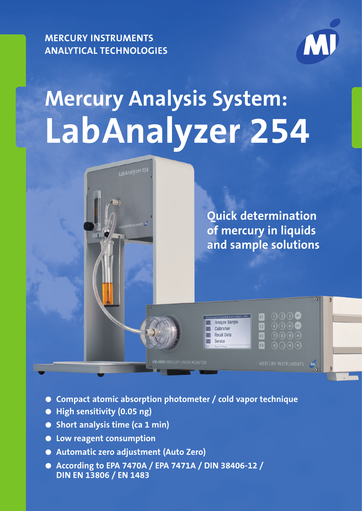**MERCURY INSTRUMENTS ANALYTICAL TECHNOLOGIES**



# **Mercury Analysis System: LabAnalyzer 254**



- **Compact atomic absorption photometer / cold vapor technique**
- **High sensitivity (0.05 ng)**
- **Short analysis time (ca 1 min)**
- **Low reagent consumption**
- **Automatic zero adjustment (Auto Zero)**
- **According to EPA 7470A / EPA 7471A / DIN 38406-12 / DIN EN 13806 / EN 1483**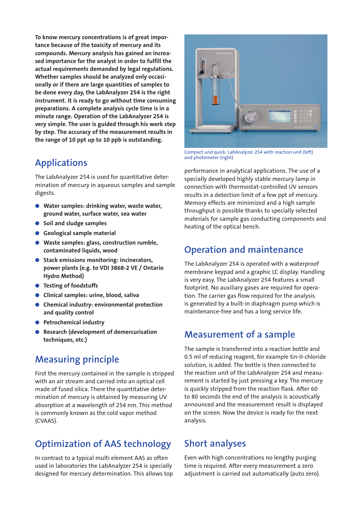**To know mercury concentrations is of great importance because of the toxicity of mercury and its compounds. Mercury analysis has gained an increased importance for the analyst in order to fulfill the actual requirements demanded by legal regulations. Whether samples should be analyzed only occasionally or if there are large quantities of samples to be done every day, the LabAnalyzer 254 is the right instrument. It is ready to go without time consuming preparations. A complete analysis cycle time is in a minute range. Operation of the LabAnalyzer 254 is very simple. The user is guided through his work step by step. The accuracy of the measurement results in the range of 10 ppt up to 10 ppb is outstanding.**

## **Applications**

The LabAnalyzer 254 is used for quantitative determination of mercury in aqueous samples and sample digests.

- **Water samples: drinking water, waste water, ground water, surface water, sea water**
- Soil and sludge samples
- **Geological sample material**
- **Waste samples: glass, construction rumble, contaminated liquids, wood**
- **Stack emissions monitoring: incinerators, power plants (e.g. to VDI 3868-2 VE / Ontario Hydro Method)**
- **Testing of foodstuffs**
- **Clinical samples: urine, blood, saliva**
- **Chemical industry: environmental protection and quality control**
- **Petrochemical industry**
- **Research (development of demercurisation techniques, etc.)**

## **Measuring principle**

First the mercury contained in the sample is stripped with an air stream and carried into an optical cell made of fused silica. There the quantitative determination of mercury is obtained by measuring UV absorption at a wavelength of 254 nm. This method is commonly known as the cold vapor method (CVAAS).

# **Optimization of AAS technology**

In contrast to a typical multi element AAS as often used in laboratories the LabAnalyzer 254 is specially designed for mercury determination. This allows top



Compact und quick: LabAnalyzer 254 with reaction unit (left) and photometer (right)

performance in analytical applications. The use of a specially developed highly stable mercury lamp in connection with thermostat-controlled UV sensors results in a detection limit of a few ppt of mercury. Memory effects are minimized and a high sample throughput is possible thanks to specially selected materials for sample gas conducting components and heating of the optical bench.

## **Operation and maintenance**

The LabAnalyzer 254 is operated with a waterproof membrane keypad and a graphic LC display. Handling is very easy. The LabAnalyzer 254 features a small footprint. No auxiliary gases are required for operation. The carrier gas flow required for the analysis is generated by a built-in diaphragm pump which is maintenance-free and has a long service life.

#### **Measurement of a sample**

The sample is transferred into a reaction bottle and 0.5 ml of reducing reagent, for example tin-II-chloride solution, is added. The bottle is then connected to the reaction unit of the LabAnalyzer 254 and measurement is started by just pressing a key. The mercury is quickly stripped from the reaction flask. After 60 to 80 seconds the end of the analysis is acoustically announced and the measurement result is displayed on the screen. Now the device is ready for the next analysis.

## **Short analyses**

Even with high concentrations no lengthy purging time is required. After every measurement a zero adjustment is carried out automatically (auto zero).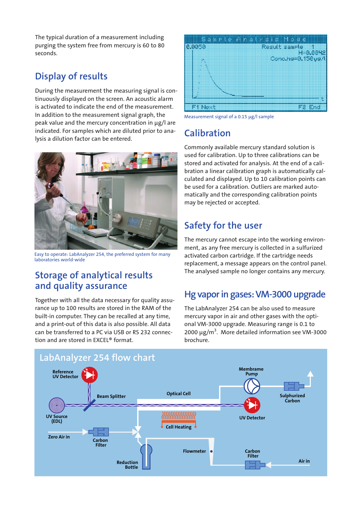The typical duration of a measurement including purging the system free from mercury is 60 to 80 seconds.

# **Display of results**

During the measurement the measuring signal is continuously displayed on the screen. An acoustic alarm is activated to indicate the end of the measurement. In addition to the measurement signal graph, the peak value and the mercury concentration in µg/l are indicated. For samples which are diluted prior to analysis a dilution factor can be entered.



Easy to operate: LabAnalyzer 254, the preferred system for many laboratories world-wide

## **Storage of analytical results and quality assurance**

Together with all the data necessary for quality assu-**reaktor** rance up to 100 results are stored in the RAM of the built-in computer. They can be recalled at any time, and a print-out of this data is also possible. All data can be transferred to a PC via USB or RS 232 connection and are stored in EXCEL® format.



Measurement signal of a 0.15 µg/l sample

## **Calibration**

Commonly available mercury standard solution is used for calibration. Up to three calibrations can be stored and activated for analysis. At the end of a calibration a linear calibration graph is automatically calculated and displayed. Up to 10 calibration points can be used for a calibration. Outliers are marked automatically and the corresponding calibration points matically and the correspond.<br>**may be rejected or accepted.** epted

# **Safety for the user**

The mercury cannot escape into the working environment, as any free mercury is collected in a sulfurized activated carbon cartridge. If the cartridge needs **Heizung** replacement, a message appears on the control panel. The analysed sample no longer contains any mercury.

# Hg vapor in gases: VM-3000 upgrade

The LabAnalyzer 254 can be also used to measure mercury vapor in air and other gases with the optional VM-3000 upgrade. Measuring range is 0.1 to 2000  $\mu$ g/m<sup>3</sup>. More detailed information see VM-3000 brochure.